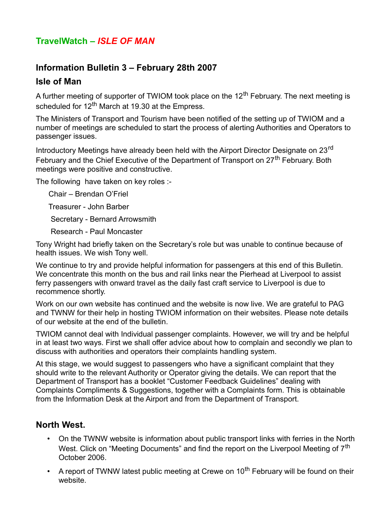# **TravelWatch –** *ISLE OF MAN*

## **Information Bulletin 3 – February 28th 2007**

### **Isle of Man**

A further meeting of supporter of TWIOM took place on the  $12<sup>th</sup>$  February. The next meeting is scheduled for  $12<sup>th</sup>$  March at 19.30 at the Empress.

The Ministers of Transport and Tourism have been notified of the setting up of TWIOM and a number of meetings are scheduled to start the process of alerting Authorities and Operators to passenger issues.

Introductory Meetings have already been held with the Airport Director Designate on 23<sup>rd</sup> February and the Chief Executive of the Department of Transport on 27<sup>th</sup> February. Both meetings were positive and constructive.

The following have taken on key roles :-

Chair – Brendan O'Friel

Treasurer - John Barber

Secretary - Bernard Arrowsmith

Research - Paul Moncaster

Tony Wright had briefly taken on the Secretary's role but was unable to continue because of health issues. We wish Tony well.

We continue to try and provide helpful information for passengers at this end of this Bulletin. We concentrate this month on the bus and rail links near the Pierhead at Liverpool to assist ferry passengers with onward travel as the daily fast craft service to Liverpool is due to recommence shortly.

Work on our own website has continued and the website is now live. We are grateful to PAG and TWNW for their help in hosting TWIOM information on their websites. Please note details of our website at the end of the bulletin.

TWIOM cannot deal with Individual passenger complaints. However, we will try and be helpful in at least two ways. First we shall offer advice about how to complain and secondly we plan to discuss with authorities and operators their complaints handling system.

At this stage, we would suggest to passengers who have a significant complaint that they should write to the relevant Authority or Operator giving the details. We can report that the Department of Transport has a booklet "Customer Feedback Guidelines" dealing with Complaints Compliments & Suggestions, together with a Complaints form. This is obtainable from the Information Desk at the Airport and from the Department of Transport.

## **North West.**

- On the TWNW website is information about public transport links with ferries in the North West. Click on "Meeting Documents" and find the report on the Liverpool Meeting of  $7<sup>th</sup>$ October 2006.
- A report of TWNW latest public meeting at Crewe on  $10<sup>th</sup>$  February will be found on their website.